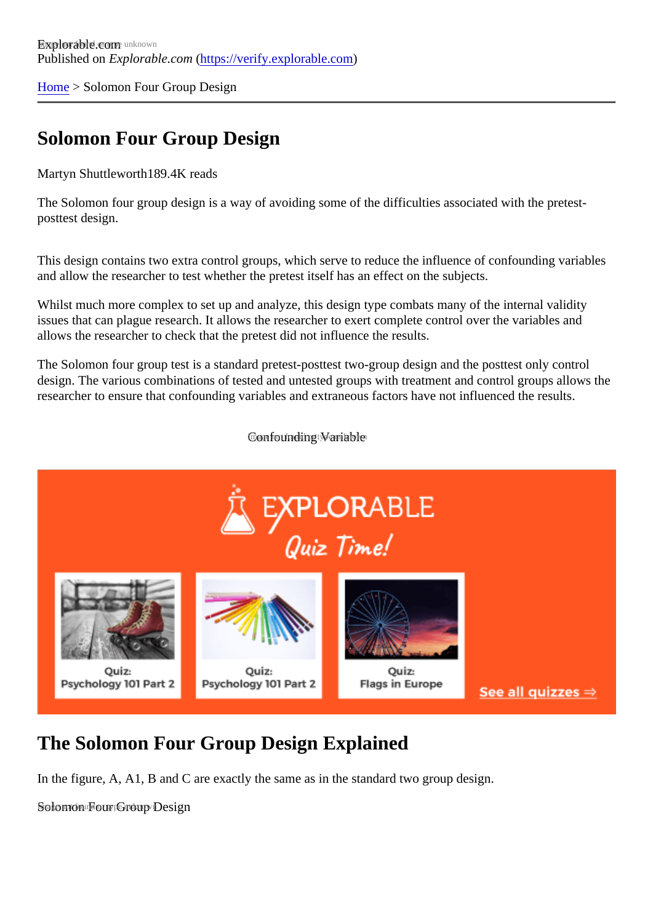[Home](https://verify.explorable.com/) > Solomon Four Group Design

## Solomon Four Group Design

Martyn Shuttleworth89.4K reads

The Solomon four group design is a way of avoiding some of the difficulties associated with the pretestposttest design.

This design contains two extra control groups, which serve to reduce the influence of confounding variable and allow the researcher to test whether the pretest itself has an effect on the subjects.

Whilst much more complex to set up and analyze, this design type combats many of the internal validity issues that can plague research. It allows the researcher to exert complete control over the variables and allows the researcher to check that the pretest did not influence the results.

The Solomon four group test is a standard pretest-posttest two-group design and the posttest only control design. The various combinations of tested and untested groups with treatment and control groups allows researcher to ensure that confounding variables and extraneous factors have not influenced the results.

Confounding Wariable not

## The Solomon Four Group Design Explained

In the figure, A, A1, B and C are exactly the same as in the standard two group design.

Solomon Four Group Design